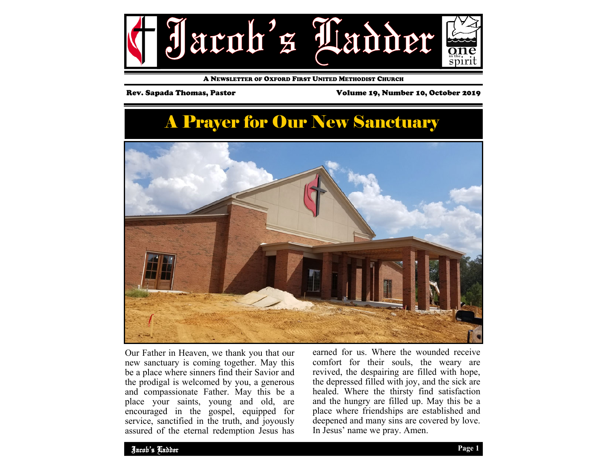

A NEWSLETTER OF OXFORD FIRST UNITED METHODIST CHURCH

Rev. Sapada Thomas, Pastor Volume 19, Number 10, October 2019

# A Prayer for Our New Sanctuary



Our Father in Heaven, we thank you that our new sanctuary is coming together. May this be a place where sinners find their Savior and the prodigal is welcomed by you, a generous and compassionate Father. May this be a place your saints, young and old, are encouraged in the gospel, equipped for service, sanctified in the truth, and joyously assured of the eternal redemption Jesus has

earned for us. Where the wounded receive comfort for their souls, the weary are revived, the despairing are filled with hope, the depressed filled with joy, and the sick are healed. Where the thirsty find satisfaction and the hungry are filled up. May this be a place where friendships are established and deepened and many sins are covered by love. In Jesus' name we pray. Amen.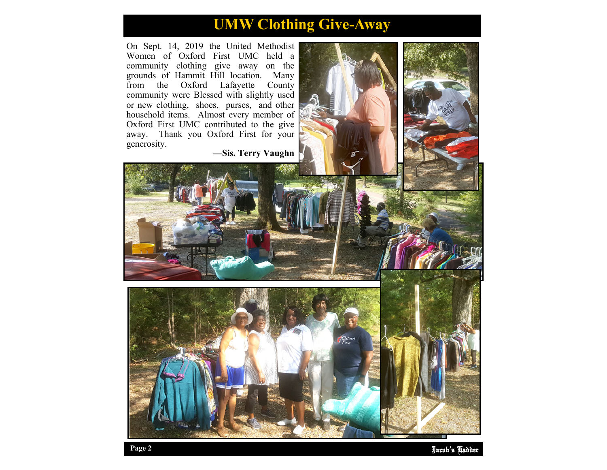# **UMW Clothing Give-Away**

On Sept. 14, 2019 the United Methodist Women of Oxford First UMC held a community clothing give away on the grounds of Hammit Hill location. Many Oxford Lafayette County community were Blessed with slightly used or new clothing, shoes, purses, and other household items. Almost every member of Oxford First UMC contributed to the give away. Thank you Oxford First for your generosity.

**—Sis. Terry Vaughn** 



Jacob' Ladder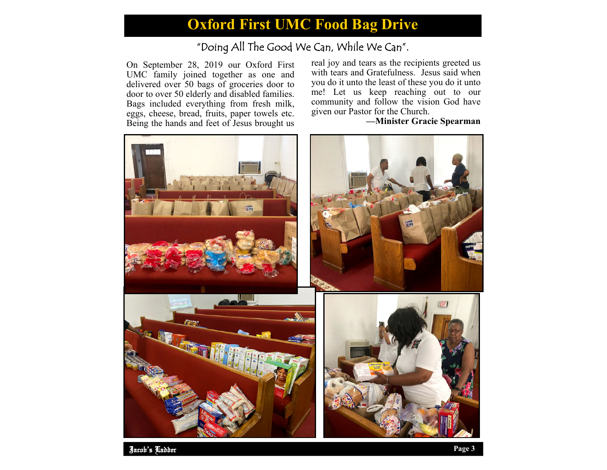## **Oxford First UMC Food Bag Drive**

## "Doing All The Good We Can, While We Can".

On September 28, 2019 our Oxford First UMC family joined together as one and delivered over 50 bags of groceries door to door to over 50 elderly and disabled families. Bags included everything from fresh milk, eggs, cheese, bread, fruits, paper towels etc. Being the hands and feet of Jesus brought us

real joy and tears as the recipients greeted us with tears and Gratefulness. Jesus said when you do it unto the least of these you do it unto me! Let us keep reaching out to our community and follow the vision God have given our Pastor for the Church.

## **—Minister Gracie Spearman**